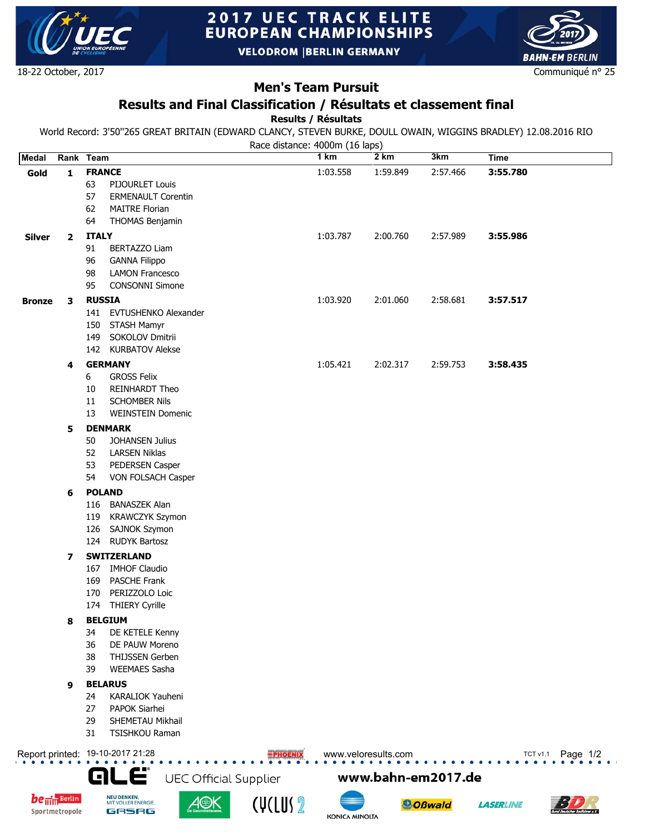

# **2017 UEC TRACK ELITE EUROPEAN CHAMPIONSHIPS**

**VELODROM |BERLIN GERMANY** 

18-22 October, 2017

## **Men's Team Pursuit**

### **Results and Final Classification / Résultats et classement final**

**Results / Résultats**

World Record: 3'50''265 GREAT BRITAIN (EDWARD CLANCY, STEVEN BURKE, DOULL OWAIN, WIGGINS BRADLEY) 12.08.2016 RIO

Race distance: 4000m (16 laps)

| <b>Medal</b>                                                                      | Rank Team               |               |                                      |  | 1 km     | 2 km     | 3km      | <b>Time</b> |
|-----------------------------------------------------------------------------------|-------------------------|---------------|--------------------------------------|--|----------|----------|----------|-------------|
| Gold                                                                              | $\mathbf{1}$            | <b>FRANCE</b> |                                      |  | 1:03.558 | 1:59.849 | 2:57.466 | 3:55.780    |
|                                                                                   |                         | 63            | PIJOURLET Louis                      |  |          |          |          |             |
|                                                                                   |                         | 57            | <b>ERMENAULT Corentin</b>            |  |          |          |          |             |
|                                                                                   |                         | 62            | <b>MAITRE Florian</b>                |  |          |          |          |             |
|                                                                                   |                         | 64            | THOMAS Benjamin                      |  |          |          |          |             |
| <b>Silver</b>                                                                     | $\mathbf{2}$            | <b>ITALY</b>  |                                      |  | 1:03.787 | 2:00.760 | 2:57.989 | 3:55.986    |
|                                                                                   |                         | 91            | BERTAZZO Liam                        |  |          |          |          |             |
|                                                                                   |                         | 96            | <b>GANNA Filippo</b>                 |  |          |          |          |             |
|                                                                                   |                         | 98<br>95      | <b>LAMON Francesco</b>               |  |          |          |          |             |
|                                                                                   |                         |               | CONSONNI Simone                      |  |          |          |          |             |
| <b>Bronze</b>                                                                     | 3                       | <b>RUSSIA</b> |                                      |  | 1:03.920 | 2:01.060 | 2:58.681 | 3:57.517    |
|                                                                                   |                         |               | 141 EVTUSHENKO Alexander             |  |          |          |          |             |
|                                                                                   |                         | 149           | 150 STASH Mamyr<br>SOKOLOV Dmitrii   |  |          |          |          |             |
|                                                                                   |                         |               | 142 KURBATOV Alekse                  |  |          |          |          |             |
|                                                                                   | 4                       |               | <b>GERMANY</b>                       |  | 1:05.421 | 2:02.317 | 2:59.753 | 3:58.435    |
|                                                                                   |                         | 6             | <b>GROSS Felix</b>                   |  |          |          |          |             |
|                                                                                   |                         | 10            | <b>REINHARDT Theo</b>                |  |          |          |          |             |
|                                                                                   |                         | 11            | <b>SCHOMBER Nils</b>                 |  |          |          |          |             |
|                                                                                   |                         | 13            | <b>WEINSTEIN Domenic</b>             |  |          |          |          |             |
|                                                                                   | <b>DENMARK</b><br>5     |               |                                      |  |          |          |          |             |
|                                                                                   |                         | 50            | <b>JOHANSEN Julius</b>               |  |          |          |          |             |
|                                                                                   |                         | 52            | <b>LARSEN Niklas</b>                 |  |          |          |          |             |
|                                                                                   |                         | 53            | PEDERSEN Casper                      |  |          |          |          |             |
|                                                                                   |                         | 54            | VON FOLSACH Casper                   |  |          |          |          |             |
|                                                                                   | <b>POLAND</b><br>6      |               |                                      |  |          |          |          |             |
|                                                                                   |                         | 116           | <b>BANASZEK Alan</b>                 |  |          |          |          |             |
|                                                                                   |                         | 119           | <b>KRAWCZYK Szymon</b>               |  |          |          |          |             |
|                                                                                   |                         | 126           | <b>SAJNOK Szymon</b>                 |  |          |          |          |             |
|                                                                                   |                         |               | 124 RUDYK Bartosz                    |  |          |          |          |             |
|                                                                                   | $\overline{\mathbf{z}}$ |               | <b>SWITZERLAND</b>                   |  |          |          |          |             |
|                                                                                   |                         | 167           | <b>IMHOF Claudio</b>                 |  |          |          |          |             |
|                                                                                   |                         | 169           | PASCHE Frank                         |  |          |          |          |             |
|                                                                                   |                         | 170           | PERIZZOLO Loic<br>174 THIERY Cyrille |  |          |          |          |             |
|                                                                                   |                         |               |                                      |  |          |          |          |             |
|                                                                                   | 8                       | 34            | <b>BELGIUM</b><br>DE KETELE Kenny    |  |          |          |          |             |
|                                                                                   |                         | 36            | DE PAUW Moreno                       |  |          |          |          |             |
|                                                                                   |                         | 38            | <b>THIJSSEN Gerben</b>               |  |          |          |          |             |
|                                                                                   |                         | 39            | <b>WEEMAES Sasha</b>                 |  |          |          |          |             |
|                                                                                   | 9                       |               | <b>BELARUS</b>                       |  |          |          |          |             |
|                                                                                   |                         | 24            | <b>KARALIOK Yauheni</b>              |  |          |          |          |             |
|                                                                                   |                         | 27            | <b>PAPOK Siarhei</b>                 |  |          |          |          |             |
|                                                                                   |                         | 29            | SHEMETAU Mikhail                     |  |          |          |          |             |
|                                                                                   |                         | 31            | TSISHKOU Raman                       |  |          |          |          |             |
|                                                                                   |                         |               |                                      |  |          |          |          |             |
| Report printed: 19-10-2017 21:28<br>www.veloresults.com<br>Page $1/2$<br>TCT v1.1 |                         |               |                                      |  |          |          |          |             |
| GLË<br><b>UEC Official Supplier</b><br>www.bahn-em2017.de                         |                         |               |                                      |  |          |          |          |             |





NEU DENKEN.<br>MIT VOLLER ENERGIE.

GASAG









**LASERLINE** 

**BAHN-EM BERLIN** 

Communiqué n° 25